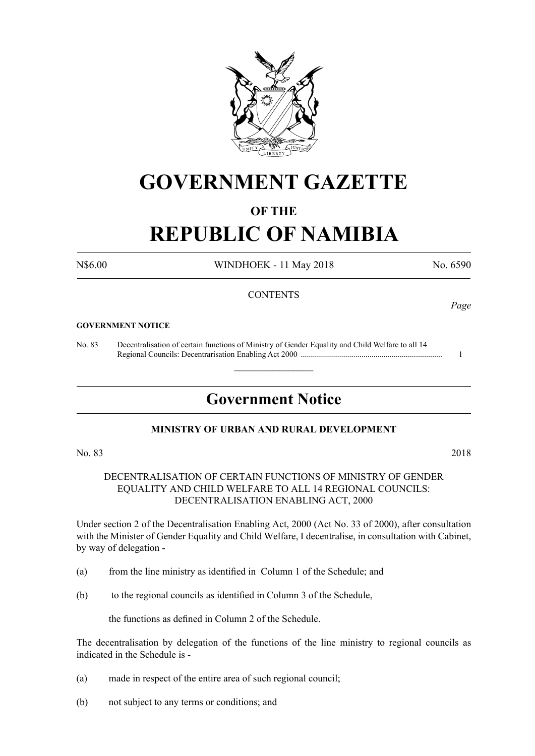

## **GOVERNMENT GAZETTE**

### **OF THE**

# **REPUBLIC OF NAMIBIA**

N\$6.00 WINDHOEK - 11 May 2018 No. 6590

*Page*

### **CONTENTS**

#### **GOVERNMENT NOTICE**

No. 83 Decentralisation of certain functions of Ministry of Gender Equality and Child Welfare to all 14 Regional Councils: Decentrarisation Enabling Act 2000 ...................................................................... 1

### **Government Notice**

 $\overline{\phantom{a}}$  , where  $\overline{\phantom{a}}$ 

### **MINISTRY OF URBAN AND RURAL DEVELOPMENT**

### No. 83 2018

DECENTRALISATION OF CERTAIN FUNCTIONS OF MINISTRY OF GENDER EQUALITY AND CHILD WELFARE TO ALL 14 REGIONAL COUNCILS: DECENTRALISATION ENABLING ACT, 2000

Under section 2 of the Decentralisation Enabling Act, 2000 (Act No. 33 of 2000), after consultation with the Minister of Gender Equality and Child Welfare, I decentralise, in consultation with Cabinet, by way of delegation -

- (a) from the line ministry as identified in Column 1 of the Schedule; and
- (b) to the regional councils as identified in Column 3 of the Schedule,

 the functions as defined in Column 2 of the Schedule.

The decentralisation by delegation of the functions of the line ministry to regional councils as indicated in the Schedule is -

- (a) made in respect of the entire area of such regional council;
- (b) not subject to any terms or conditions; and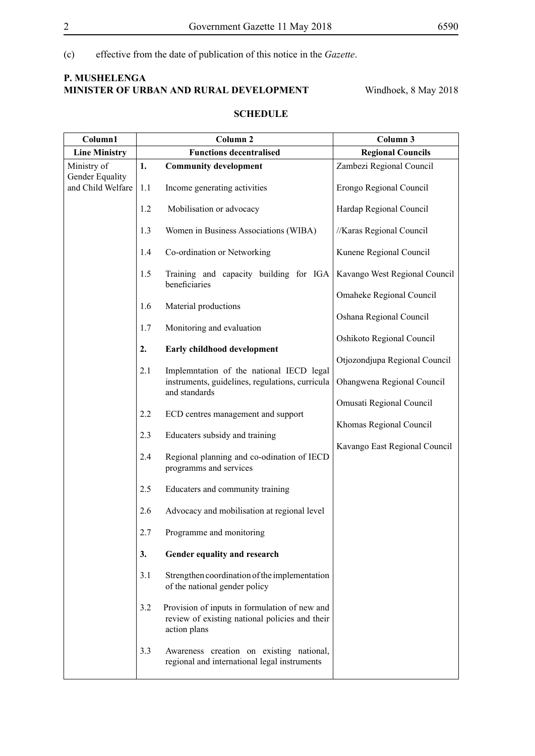(c) effective from the date of publication of this notice in the *Gazette*.

### **P. Mushelenga Minister of Urban and Rural Development** Windhoek, 8 May 2018

### **SCHEDULE**

| Column1                                             | Column <sub>2</sub>            |                                                                                                                 | Column 3                                                                         |
|-----------------------------------------------------|--------------------------------|-----------------------------------------------------------------------------------------------------------------|----------------------------------------------------------------------------------|
| <b>Line Ministry</b>                                | <b>Functions decentralised</b> |                                                                                                                 | <b>Regional Councils</b>                                                         |
| Ministry of<br>Gender Equality<br>and Child Welfare | 1.                             | <b>Community development</b>                                                                                    | Zambezi Regional Council                                                         |
|                                                     | 1.1                            | Income generating activities                                                                                    | Erongo Regional Council                                                          |
|                                                     | 1.2                            | Mobilisation or advocacy                                                                                        | Hardap Regional Council                                                          |
|                                                     | 1.3                            | Women in Business Associations (WIBA)                                                                           | //Karas Regional Council                                                         |
|                                                     | 1.4                            | Co-ordination or Networking                                                                                     | Kunene Regional Council                                                          |
|                                                     | 1.5                            | Training and capacity building for IGA<br>beneficiaries                                                         | Kavango West Regional Council                                                    |
|                                                     | 1.6                            | Material productions                                                                                            | Omaheke Regional Council<br>Oshana Regional Council<br>Oshikoto Regional Council |
|                                                     | 1.7                            | Monitoring and evaluation                                                                                       |                                                                                  |
|                                                     | 2.                             |                                                                                                                 |                                                                                  |
|                                                     |                                | Early childhood development                                                                                     | Otjozondjupa Regional Council                                                    |
|                                                     | 2.1                            | Implemntation of the national IECD legal<br>instruments, guidelines, regulations, curricula<br>and standards    | Ohangwena Regional Council                                                       |
|                                                     |                                |                                                                                                                 | Omusati Regional Council                                                         |
|                                                     | 2.2                            | ECD centres management and support                                                                              | Khomas Regional Council                                                          |
|                                                     | 2.3                            | Educaters subsidy and training                                                                                  | Kavango East Regional Council                                                    |
|                                                     | 2.4                            | Regional planning and co-odination of IECD<br>programms and services                                            |                                                                                  |
|                                                     | 2.5                            | Educaters and community training                                                                                |                                                                                  |
|                                                     | 2.6                            | Advocacy and mobilisation at regional level                                                                     |                                                                                  |
|                                                     | 2.7                            | Programme and monitoring                                                                                        |                                                                                  |
|                                                     | 3.                             | Gender equality and research                                                                                    |                                                                                  |
|                                                     | 3.1                            | Strengthen coordination of the implementation<br>of the national gender policy                                  |                                                                                  |
|                                                     | 3.2                            | Provision of inputs in formulation of new and<br>review of existing national policies and their<br>action plans |                                                                                  |
|                                                     | 3.3                            | Awareness creation on existing national,<br>regional and international legal instruments                        |                                                                                  |